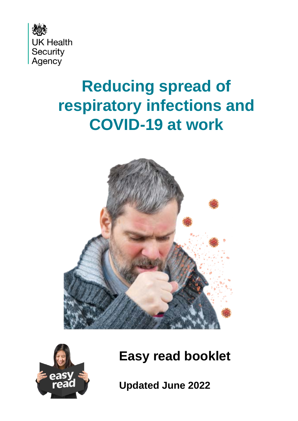

# **Reducing spread of respiratory infections and COVID-19 at work**





**Easy read booklet**

**Updated June 2022**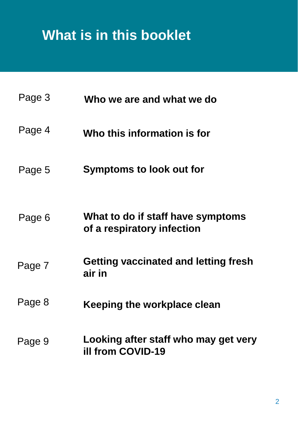# **What is in this booklet**

| Page 3 | Who we are and what we do                                        |
|--------|------------------------------------------------------------------|
| Page 4 | Who this information is for                                      |
| Page 5 | <b>Symptoms to look out for</b>                                  |
| Page 6 | What to do if staff have symptoms<br>of a respiratory infection  |
| Page 7 | Getting vaccinated and letting fresh<br>air in                   |
| Page 8 | Keeping the workplace clean                                      |
| Page 9 | Looking after staff who may get very<br><b>ill from COVID-19</b> |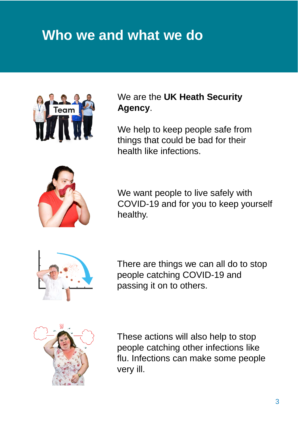#### **Who we and what we do**



We are the **UK Heath Security Agency**.

We help to keep people safe from things that could be bad for their health like infections.



We want people to live safely with COVID-19 and for you to keep yourself healthy.



There are things we can all do to stop people catching COVID-19 and passing it on to others.



These actions will also help to stop people catching other infections like flu. Infections can make some people very ill.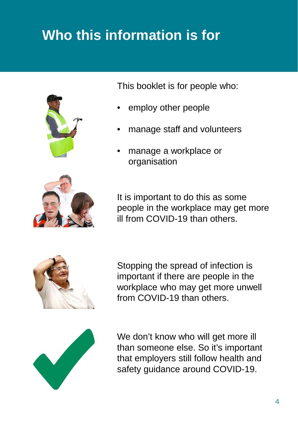# **Who this information is for**



This booklet is for people who:

- employ other people
- manage staff and volunteers
- manage a workplace or organisation





Stopping the spread of infection is important if there are people in the workplace who may get more unwell from COVID-19 than others.



We don't know who will get more ill than someone else. So it's important that employers still follow health and safety guidance around COVID-19.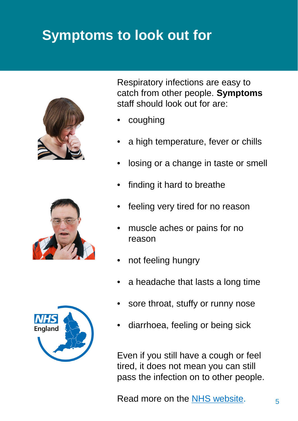### **Symptoms to look out for**







Respiratory infections are easy to catch from other people. **Symptoms** staff should look out for are:

- coughing
- a high temperature, fever or chills
- losing or a change in taste or smell
- finding it hard to breathe
- feeling very tired for no reason
- muscle aches or pains for no reason
- not feeling hungry
- a headache that lasts a long time
- sore throat, stuffy or runny nose
- diarrhoea, feeling or being sick

Even if you still have a cough or feel tired, it does not mean you can still pass the infection on to other people.

Read more on the  $N$ HS website.  $5<sub>5</sub>$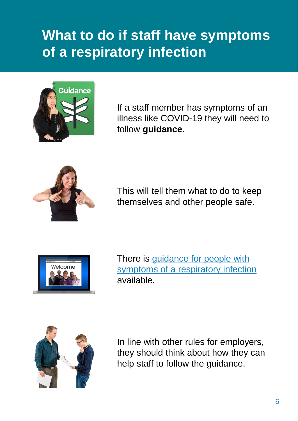#### **What to do if staff have symptoms of a respiratory infection**



If a staff member has symptoms of an illness like COVID-19 they will need to follow **guidance**.



This will tell them what to do to keep themselves and other people safe.



There is guidance for people with [symptoms of a respiratory infection](https://www.gov.uk/guidance/people-with-symptoms-of-a-respiratory-infection-including-covid-19) available.



In line with other rules for employers, they should think about how they can help staff to follow the guidance.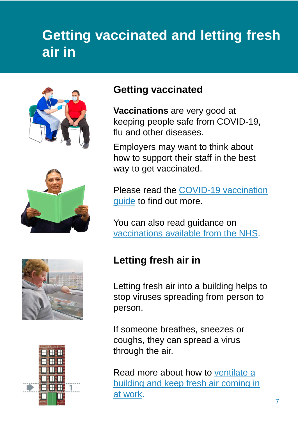## **Getting vaccinated and letting fresh air in**





#### **Getting vaccinated**

**Vaccinations** are very good at keeping people safe from COVID-19, flu and other diseases.

Employers may want to think about how to support their staff in the best way to get vaccinated.

[Please read the COVID-19 vaccination](https://www.gov.uk/government/publications/covid-19-vaccination-guide-for-employers/covid-19-vaccination-guide-for-employers)  guide to find out more.

You can also read guidance on [vaccinations available from the NHS.](https://www.nhs.uk/conditions/vaccinations/nhs-vaccinations-and-when-to-have-them/)





Letting fresh air into a building helps to stop viruses spreading from person to person.

If someone breathes, sneezes or coughs, they can spread a virus through the air.

Read more about how to ventilate a [building and keep fresh air coming in](https://www.hse.gov.uk/ventilation/overview.htm)  at work.

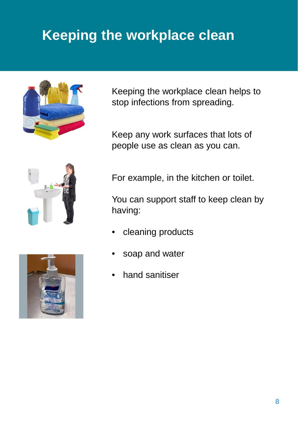# **Keeping the workplace clean**



Keeping the workplace clean helps to stop infections from spreading.

Keep any work surfaces that lots of people use as clean as you can.





For example, in the kitchen or toilet.

You can support staff to keep clean by having:

- cleaning products
- soap and water
- hand sanitiser